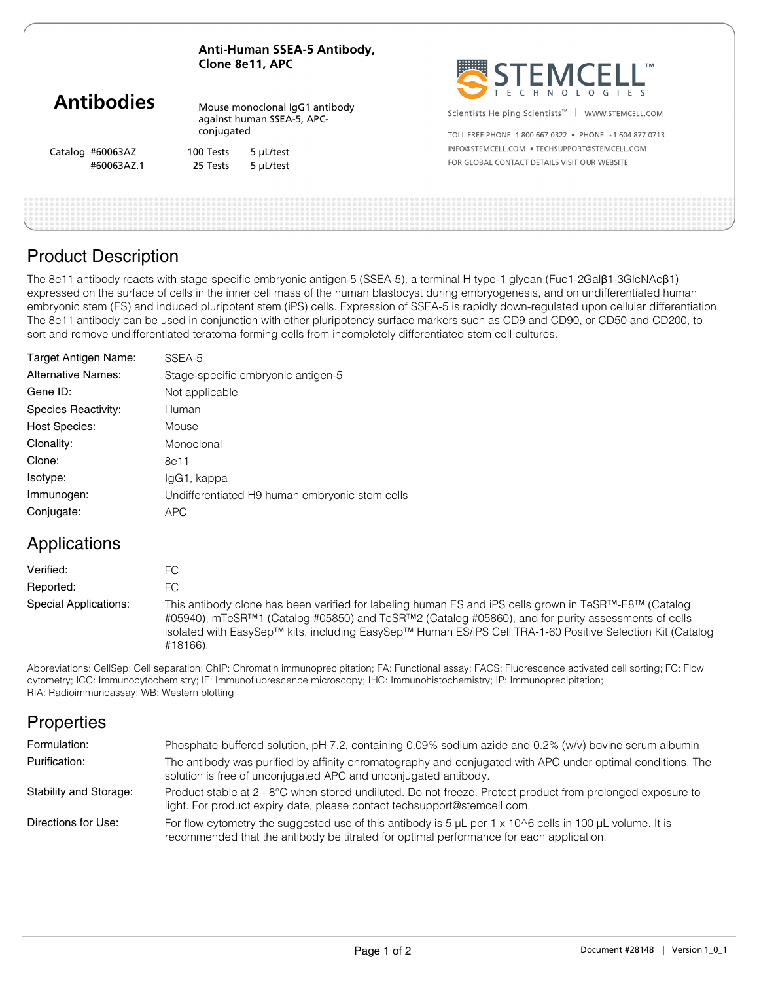| Anti-Human SSEA-5 Antibody, |
|-----------------------------|
| Clone 8e11, APC             |

Mouse monoclonal IgG1 antibody against human SSEA-5, APC-

conjugated

|  |  | <b>STEMCELL</b> |                   |  |  |  |  |
|--|--|-----------------|-------------------|--|--|--|--|
|  |  | T F C H N       | $\Omega$ $\Gamma$ |  |  |  |  |

Scientists Helping Scientists<sup>™</sup> | WWW.STEMCELL.COM

TOLL FREE PHONE 1 800 667 0322 · PHONE +1 604 877 0713 INFO@STEMCELL.COM .TECHSUPPORT@STEMCELL.COM FOR GLOBAL CONTACT DETAILS VISIT OUR WERSITE

|  | . |
|--|---|

### Product Description

**Antibodies**

Catalog #60063AZ 100 Tests 5 μL/test

#60063AZ.1 25 Tests 5 μL/test

The 8e11 antibody reacts with stage-specific embryonic antigen-5 (SSEA-5), a terminal H type-1 glycan (Fuc1-2Galβ1-3GlcNAcβ1) expressed on the surface of cells in the inner cell mass of the human blastocyst during embryogenesis, and on undifferentiated human embryonic stem (ES) and induced pluripotent stem (iPS) cells. Expression of SSEA-5 is rapidly down-regulated upon cellular differentiation. The 8e11 antibody can be used in conjunction with other pluripotency surface markers such as CD9 and CD90, or CD50 and CD200, to sort and remove undifferentiated teratoma-forming cells from incompletely differentiated stem cell cultures.

| Target Antigen Name:      | SSEA-5                                         |
|---------------------------|------------------------------------------------|
| <b>Alternative Names:</b> | Stage-specific embryonic antigen-5             |
| Gene ID:                  | Not applicable                                 |
| Species Reactivity:       | Human                                          |
| <b>Host Species:</b>      | Mouse                                          |
| Clonality:                | Monoclonal                                     |
| Clone:                    | 8e11                                           |
| Isotype:                  | lgG1, kappa                                    |
| Immunogen:                | Undifferentiated H9 human embryonic stem cells |
| Conjugate:                | <b>APC</b>                                     |

# Applications

| Verified:             |                                                                                                                                                                                                                                                                                                                                                                  |
|-----------------------|------------------------------------------------------------------------------------------------------------------------------------------------------------------------------------------------------------------------------------------------------------------------------------------------------------------------------------------------------------------|
| Reported:             | FC.                                                                                                                                                                                                                                                                                                                                                              |
| Special Applications: | This antibody clone has been verified for labeling human ES and iPS cells grown in TeSR <sup>TM</sup> -E8 <sup>TM</sup> (Catalog<br>#05940), mTeSR™1 (Catalog #05850) and TeSR™2 (Catalog #05860), and for purity assessments of cells<br>isolated with EasySep™ kits, including EasySep™ Human ES/iPS Cell TRA-1-60 Positive Selection Kit (Catalog<br>#18166). |

Abbreviations: CellSep: Cell separation; ChIP: Chromatin immunoprecipitation; FA: Functional assay; FACS: Fluorescence activated cell sorting; FC: Flow cytometry; ICC: Immunocytochemistry; IF: Immunofluorescence microscopy; IHC: Immunohistochemistry; IP: Immunoprecipitation; RIA: Radioimmunoassay; WB: Western blotting

# **Properties**

| Formulation:           | Phosphate-buffered solution, pH 7.2, containing 0.09% sodium azide and 0.2% (w/v) bovine serum albumin                                                                                                                      |
|------------------------|-----------------------------------------------------------------------------------------------------------------------------------------------------------------------------------------------------------------------------|
| Purification:          | The antibody was purified by affinity chromatography and conjugated with APC under optimal conditions. The<br>solution is free of unconjugated APC and unconjugated antibody.                                               |
| Stability and Storage: | Product stable at 2 - 8°C when stored undiluted. Do not freeze. Protect product from prolonged exposure to<br>light. For product expiry date, please contact techsupport@stemcell.com.                                      |
| Directions for Use:    | For flow cytometry the suggested use of this antibody is 5 $\mu$ L per 1 x 10 $\textdegree$ 6 cells in 100 $\mu$ L volume. It is<br>recommended that the antibody be titrated for optimal performance for each application. |